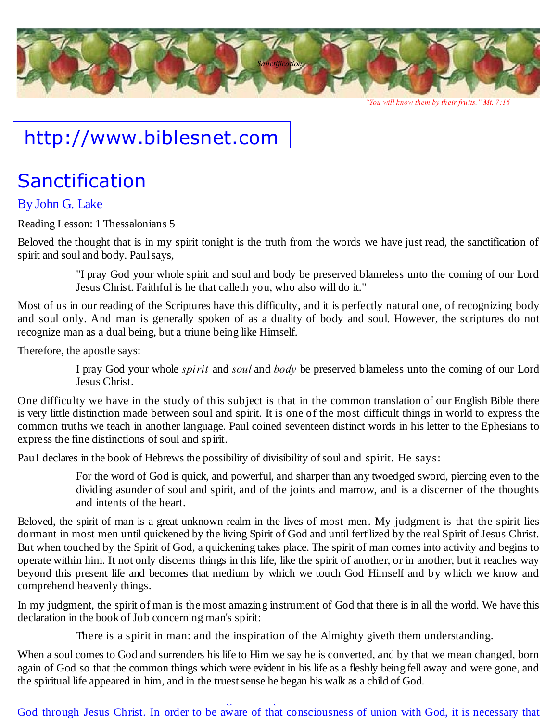

*"You will know them by their fruits." Mt. 7:16* 

# [http://www.biblesnet.com](http://www.biblesnet.com/)

# **Sanctification**

## By John G. Lake

Reading Lesson: 1 Thessalonians 5

Beloved the thought that is in my spirit tonight is the truth from the words we have just read, the sanctification of spirit and soul and body. Paulsays,

> "I pray God your whole spirit and soul and body be preserved blameless unto the coming of our Lord Jesus Christ. Faithful is he that calleth you, who also will do it."

Most of us in our reading of the Scriptures have this difficulty, and it is perfectly natural one, of recognizing body and soul only. And man is generally spoken of as a duality of body and soul. However, the scriptures do not recognize man as a dual being, but a triune being like Himself.

Therefore, the apostle says:

I pray God your whole *spirit* and *soul* and *body* be preserved blameless unto the coming of our Lord Jesus Christ.

One difficulty we have in the study of this subject is that in the common translation of our English Bible there is very little distinction made between soul and spirit. It is one of the most difficult things in world to express the common truths we teach in another language. Paul coined seventeen distinct words in his letter to the Ephesians to express the fine distinctions of soul and spirit.

Pau1 declares in the book of Hebrews the possibility of divisibility of soul and spirit. He says:

For the word of God is quick, and powerful, and sharper than any twoedged sword, piercing even to the dividing asunder of soul and spirit, and of the joints and marrow, and is a discerner of the thoughts and intents of the heart.

Beloved, the spirit of man is a great unknown realm in the lives of most men. My judgment is that the spirit lies dormant in most men until quickened by the living Spirit of God and until fertilized by the real Spirit of Jesus Christ. But when touched by the Spirit of God, a quickening takes place. The spirit of man comes into activity and begins to operate within him. It not only discerns things in this life, like the spirit of another, or in another, but it reaches way beyond this present life and becomes that medium by which we touch God Himself and by which we know and comprehend heavenly things.

In my judgment, the spirit of man is the most amazing instrument of God that there is in all the world. We have this declaration in the book of Job concerning man's spirit:

There is a spirit in man: and the inspiration of the Almighty giveth them understanding.

When a soul comes to God and surrenders his life to Him we say he is converted, and by that we mean changed, born again of God so that the common things which were evident in his life as a fleshly being fell away and were gone, and the spiritual life appeared in him, and in the truest sense he began his walk as a child of God.

I believe a real conversion is the awakening of the spirit of man to the consciousness of the Fatherhood of God through Jesus Christ. In order to be aware of that consciousness of union with God, it is necessary that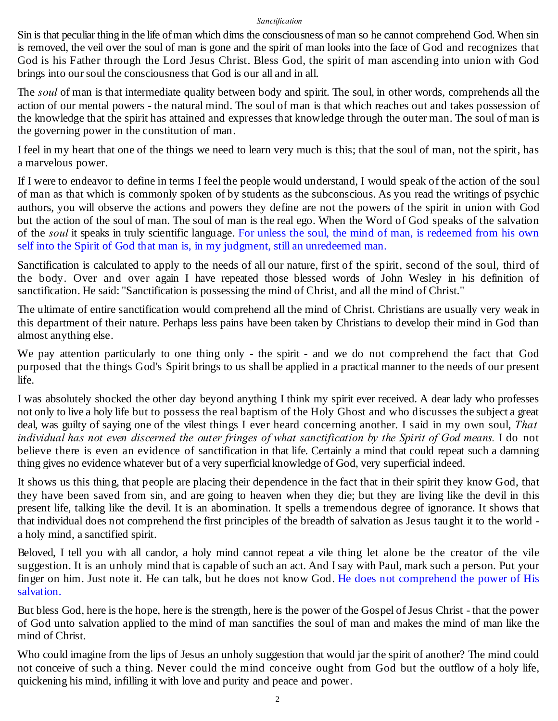#### *Sanctification*

Sin is that peculiar thing in the life of man which dims the consciousness of man so he cannot comprehend God. When sin is removed, the veil over the soul of man is gone and the spirit of man looks into the face of God and recognizes that God is his Father through the Lord Jesus Christ. Bless God, the spirit of man ascending into union with God brings into our soul the consciousness that God is our all and in all.

The *soul* of man is that intermediate quality between body and spirit. The soul, in other words, comprehends all the action of our mental powers - the natural mind. The soul of man is that which reaches out and takes possession of the knowledge that the spirit has attained and expresses that knowledge through the outer man. The soul of man is the governing power in the constitution of man.

I feel in my heart that one of the things we need to learn very much is this; that the soul of man, not the spirit, has a marvelous power.

If I were to endeavor to define in terms I feel the people would understand, I would speak of the action of the soul of man as that which is commonly spoken of by students as the subconscious. As you read the writings of psychic authors, you will observe the actions and powers they define are not the powers of the spirit in union with God but the action of the soul of man. The soul of man is the real ego. When the Word of God speaks of the salvation of the *soul* it speaks in truly scientific language. For unless the soul, the mind of man, is redeemed from his own self into the Spirit of God that man is, in my judgment, still an unredeemed man.

Sanctification is calculated to apply to the needs of all our nature, first of the spirit, second of the soul, third of the body. Over and over again I have repeated those blessed words of John Wesley in his definition of sanctification. He said: "Sanctification is possessing the mind of Christ, and all the mind of Christ."

The ultimate of entire sanctification would comprehend all the mind of Christ. Christians are usually very weak in this department of their nature. Perhaps less pains have been taken by Christians to develop their mind in God than almost anything else.

We pay attention particularly to one thing only - the spirit - and we do not comprehend the fact that God purposed that the things God's Spirit brings to us shall be applied in a practical manner to the needs of our present life.

I was absolutely shocked the other day beyond anything I think my spirit ever received. A dear lady who professes not only to live a holy life but to possess the real baptism of the Holy Ghost and who discusses the subject a great deal, was guilty of saying one of the vilest things I ever heard concerning another. I said in my own soul, *That* individual has not even discerned the outer fringes of what sanctification by the Spirit of God means. I do not believe there is even an evidence of sanctification in that life. Certainly a mind that could repeat such a damning thing gives no evidence whatever but of a very superficial knowledge of God, very superficial indeed.

It shows us this thing, that people are placing their dependence in the fact that in their spirit they know God, that they have been saved from sin, and are going to heaven when they die; but they are living like the devil in this present life, talking like the devil. It is an abomination. It spells a tremendous degree of ignorance. It shows that that individual does not comprehend the first principles of the breadth of salvation as Jesus taught it to the world a holy mind, a sanctified spirit.

Beloved, I tell you with all candor, a holy mind cannot repeat a vile thing let alone be the creator of the vile suggestion. It is an unholy mind that is capable of such an act. And I say with Paul, mark such a person. Put your finger on him. Just note it. He can talk, but he does not know God. He does not comprehend the power of His salvation.

But bless God, here is the hope, here is the strength, here is the power of the Gospel of Jesus Christ - that the power of God unto salvation applied to the mind of man sanctifies the soul of man and makes the mind of man like the mind of Christ.

Who could imagine from the lips of Jesus an unholy suggestion that would jar the spirit of another? The mind could not conceive of such a thing. Never could the mind conceive ought from God but the outflow of a holy life, quickening his mind, infilling it with love and purity and peace and power.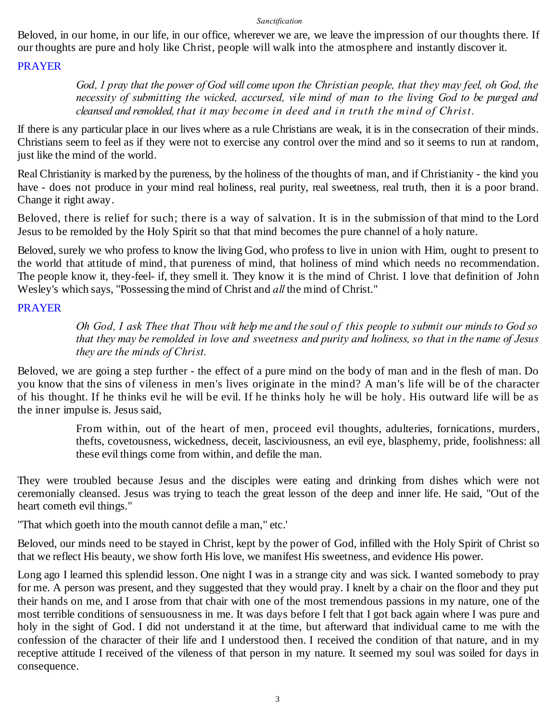#### *Sanctification*

Beloved, in our home, in our life, in our office, wherever we are, we leave the impression of our thoughts there. If our thoughts are pure and holy like Christ, people will walk into the atmosphere and instantly discover it.

### PRAYER

God, I pray that the power of God will come upon the Christian people, that they may feel, oh God, the *necessity of submitting the wicked, accursed, vile mind of man to the living God to be purged and cleansed and remolded, that it may become in deed and in truth the mind of Christ.*

If there is any particular place in our lives where as a rule Christians are weak, it is in the consecration of their minds. Christians seem to feel as if they were not to exercise any control over the mind and so it seems to run at random, just like the mind of the world.

Real Christianity is marked by the pureness, by the holiness of the thoughts of man, and if Christianity - the kind you have - does not produce in your mind real holiness, real purity, real sweetness, real truth, then it is a poor brand. Change it right away.

Beloved, there is relief for such; there is a way of salvation. It is in the submission of that mind to the Lord Jesus to be remolded by the Holy Spirit so that that mind becomes the pure channel of a holy nature.

Beloved, surely we who profess to know the living God, who profess to live in union with Him, ought to present to the world that attitude of mind, that pureness of mind, that holiness of mind which needs no recommendation. The people know it, they-feel- if, they smell it. They know it is the mind of Christ. I love that definition of John Wesley's which says, "Possessing the mind of Christ and *all* the mind of Christ."

### PRAYER

Oh God, I ask Thee that Thou wilt help me and the soul of this people to submit our minds to God so that they may be remolded in love and sweetness and purity and holiness, so that in the name of Jesus *they are the minds of Christ.*

Beloved, we are going a step further - the effect of a pure mind on the body of man and in the flesh of man. Do you know that the sins of vileness in men's lives originate in the mind? A man's life will be of the character of his thought. If he thinks evil he will be evil. If he thinks holy he will be holy. His outward life will be as the inner impulse is. Jesus said,

> From within, out of the heart of men, proceed evil thoughts, adulteries, fornications, murders, thefts, covetousness, wickedness, deceit, lasciviousness, an evil eye, blasphemy, pride, foolishness: all these evil things come from within, and defile the man.

They were troubled because Jesus and the disciples were eating and drinking from dishes which were not ceremonially cleansed. Jesus was trying to teach the great lesson of the deep and inner life. He said, "Out of the heart cometh evil things."

"That which goeth into the mouth cannot defile a man," etc.'

Beloved, our minds need to be stayed in Christ, kept by the power of God, infilled with the Holy Spirit of Christ so that we reflect His beauty, we show forth His love, we manifest His sweetness, and evidence His power.

Long ago I learned this splendid lesson. One night I was in a strange city and was sick. I wanted somebody to pray for me. A person was present, and they suggested that they would pray. I knelt by a chair on the floor and they put their hands on me, and I arose from that chair with one of the most tremendous passions in my nature, one of the most terrible conditions of sensuousness in me. It was days before I felt that I got back again where I was pure and holy in the sight of God. I did not understand it at the time, but afterward that individual came to me with the confession of the character of their life and I understood then. I received the condition of that nature, and in my receptive attitude I received of the vileness of that person in my nature. It seemed my soul was soiled for days in consequence.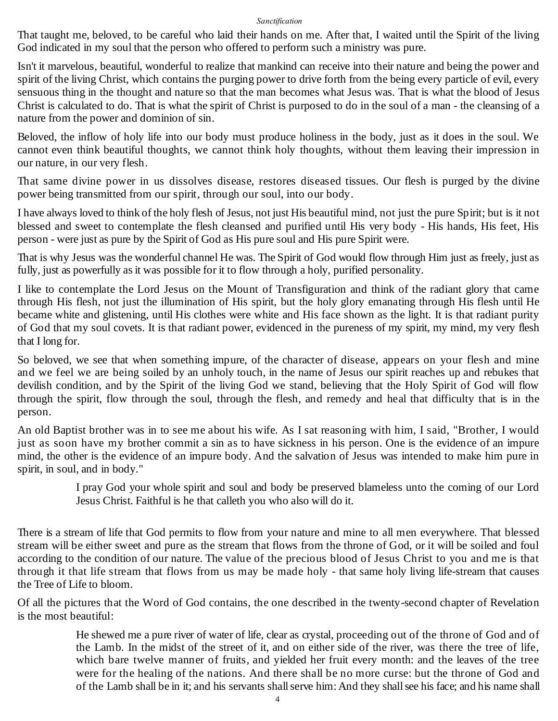#### *Sanctification*

That taught me, beloved, to be careful who laid their hands on me. After that, I waited until the Spirit of the living God indicated in my soul that the person who offered to perform such a ministry was pure.

Isn't it marvelous, beautiful, wonderful to realize that mankind can receive into their nature and being the power and spirit of the living Christ, which contains the purging power to drive forth from the being every particle of evil, every sensuous thing in the thought and nature so that the man becomes what Jesus was. That is what the blood of Jesus Christ is calculated to do. That is what the spirit of Christ is purposed to do in the soul of a man - the cleansing of a nature from the power and dominion of sin.

Beloved, the inflow of holy life into our body must produce holiness in the body, just as it does in the soul. We cannot even think beautiful thoughts, we cannot think holy thoughts, without them leaving their impression in our nature, in our very flesh.

That same divine power in us dissolves disease, restores diseased tissues. Our flesh is purged by the divine power being transmitted from our spirit, through our soul, into our body.

I have always loved to think of the holy flesh of Jesus, not just His beautiful mind, not just the pure Spirit; but is it not blessed and sweet to contemplate the flesh cleansed and purified until His very body - His hands, His feet, His person - were just as pure by the Spirit of God as His pure soul and His pure Spirit were.

That is why Jesus was the wonderful channel He was. The Spirit of God would flow through Him just as freely, just as fully, just as powerfully as it was possible for it to flow through a holy, purified personality.

I like to contemplate the Lord Jesus on the Mount of Transfiguration and think of the radiant glory that came through His flesh, not just the illumination of His spirit, but the holy glory emanating through His flesh until He became white and glistening, until His clothes were white and His face shown as the light. It is that radiant purity of God that my soul covets. It is that radiant power, evidenced in the pureness of my spirit, my mind, my very flesh that I long for.

So beloved, we see that when something impure, of the character of disease, appears on your flesh and mine and we feel we are being soiled by an unholy touch, in the name of Jesus our spirit reaches up and rebukes that devilish condition, and by the Spirit of the living God we stand, believing that the Holy Spirit of God will flow through the spirit, flow through the soul, through the flesh, and remedy and heal that difficulty that is in the person.

An old Baptist brother was in to see me about his wife. As I sat reasoning with him, I said, "Brother, I would just as soon have my brother commit a sin as to have sickness in his person. One is the evidence of an impure mind, the other is the evidence of an impure body. And the salvation of Jesus was intended to make him pure in spirit, in soul, and in body."

> I pray God your whole spirit and soul and body be preserved blameless unto the coming of our Lord Jesus Christ. Faithful is he that calleth you who also will do it.

There is a stream of life that God permits to flow from your nature and mine to all men everywhere. That blessed stream will be either sweet and pure as the stream that flows from the throne of God, or it will be soiled and foul according to the condition of our nature. The value of the precious blood of Jesus Christ to you and me is that through it that life stream that flows from us may be made holy - that same holy living life-stream that causes the Tree of Life to bloom.

Of all the pictures that the Word of God contains, the one described in the twenty-second chapter of Revelation is the most beautiful:

> He shewed me a pure river of water of life, clear as crystal, proceeding out of the throne of God and of the Lamb. In the midst of the street of it, and on either side of the river, was there the tree of life, which bare twelve manner of fruits, and yielded her fruit every month: and the leaves of the tree were for the healing of the nations. And there shall be no more curse: but the throne of God and of the Lamb shall be in it; and his servants shall serve him: And they shall see his face; and his name shall